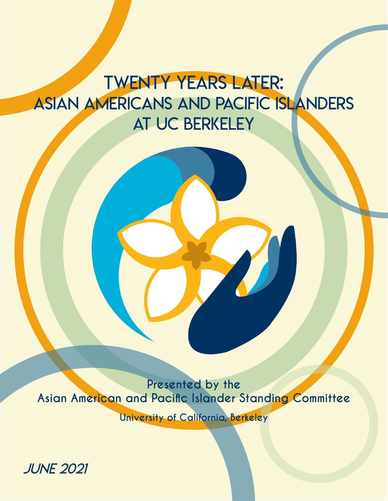### tWENTY YEARS LATER: ASIAN AMERICANS AND PACIFIC ISLANDERS AT UC Berkeley

**Presented by the Asian American and Pacific Islander Standing Committee**

**University of California, Berkeley**

JUNE 2021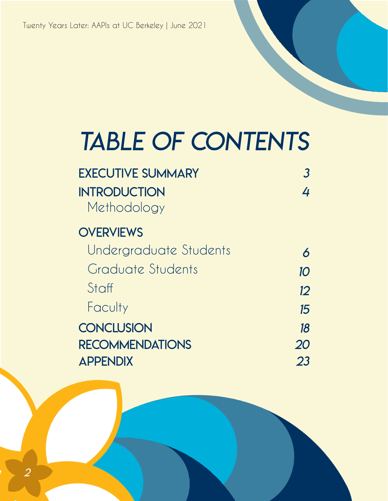## TABLE OF CONTENTS

| <b>EXECUTIVE SUMMARY</b> |    |
|--------------------------|----|
| <b>INTRODUCTION</b>      | 4  |
| Methodology              |    |
| <b>OVERVIEWS</b>         |    |
| Undergraduate Students   | 6  |
| Graduate Students        | 10 |
| Staff                    | 12 |
| Faculty                  | 15 |
| <b>CONCLUSION</b>        | 18 |
| <b>RECOMMENDATIONS</b>   | 20 |
| <b>APPENDIX</b>          | 23 |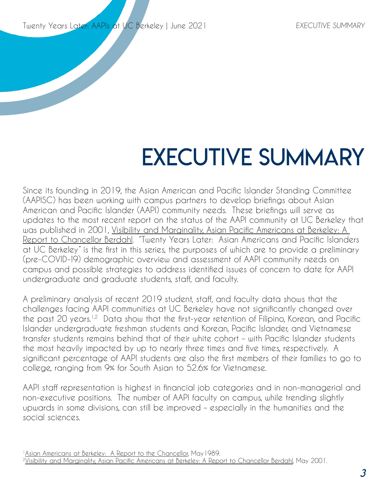## EXECUTIVE SUMMARY

Since its founding in 2019, the Asian American and Pacific Islander Standing Committee (AAPISC) has been working with campus partners to develop briefings about Asian American and Pacific Islander (AAPI) community needs. These briefings will serve as updates to the most recent report on the status of the AAPI community at UC Berkeley that was published in 2001, Visibility and Marginality, Asian Pacific Americans at Berkeley: A Report to Chancellor Berdahl. "Twenty Years Later: Asian Americans and Pacific Islanders at UC Berkeley" is the first in this series, the purposes of which are to provide a preliminary (pre-COVID-19) demographic overview and assessment of AAPI community needs on campus and possible strategies to address identified issues of concern to date for AAPI undergraduate and graduate students, staff, and faculty.

A preliminary analysis of recent 2019 student, staff, and faculty data shows that the challenges facing AAPI communities at UC Berkeley have not significantly changed over the past 20 years.<sup>1,2</sup> Data show that the first-year retention of Filipino, Korean, and Pacific Islander undergraduate freshman students and Korean, Pacific Islander, and Vietnamese transfer students remains behind that of their white cohort – with Pacific Islander students the most heavily impacted by up to nearly three times and five times, respectively. A significant percentage of AAPI students are also the first members of their families to go to college, ranging from 9% for South Asian to 52.6% for Vietnamese.

AAPI staff representation is highest in financial job categories and in non-managerial and non-executive positions. The number of AAPI faculty on campus, while trending slightly upwards in some divisions, can still be improved – especially in the humanities and the social sciences.

<sup>1</sup>Asian Americans at Berkeley: A Report to the Chancellor, May 1989. <sup>2</sup>Visibility and Marginality, Asian Pacific Americans at Berkeley: A Report to Chancellor Berdahl, May 2001.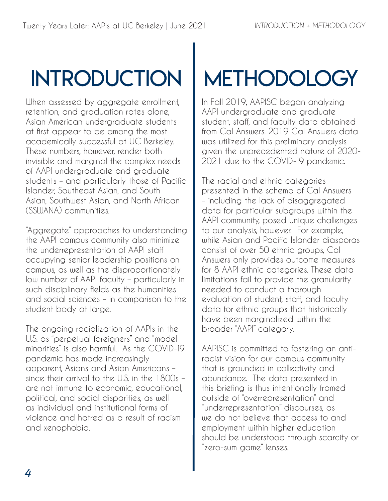## INTRODUCTION

When assessed by aggregate enrollment, retention, and graduation rates alone, Asian American undergraduate students at first appear to be among the most academically successful at UC Berkeley. These numbers, however, render both invisible and marginal the complex needs of AAPI undergraduate and graduate students – and particularly those of Pacific Islander, Southeast Asian, and South Asian, Southwest Asian, and North African (SSWANA) communities.

"Aggregate" approaches to understanding the AAPI campus community also minimize the underrepresentation of AAPI staff occupying senior leadership positions on campus, as well as the disproportionately low number of AAPI faculty – particularly in such disciplinary fields as the humanities and social sciences – in comparison to the student body at large.

The ongoing racialization of AAPIs in the U.S. as "perpetual foreigners" and "model minorities" is also harmful. As the COVID-19 pandemic has made increasingly apparent, Asians and Asian Americans – since their arrival to the U.S. in the 1800s – are not immune to economic, educational, political, and social disparities, as well as individual and institutional forms of violence and hatred as a result of racism and xenophobia.

## **METHODOLOGY**

In Fall 2019, AAPISC began analyzing AAPI undergraduate and graduate student, staff, and faculty data obtained from Cal Answers. 2019 Cal Answers data was utilized for this preliminary analysis given the unprecedented nature of 2020- 2021 due to the COVID-19 pandemic.

The racial and ethnic categories presented in the schema of Cal Answers – including the lack of disaggregated data for particular subgroups within the AAPI community, posed unique challenges to our analysis, however. For example, while Asian and Pacific Islander diasporas consist of over 50 ethnic groups, Cal Answers only provides outcome measures for 8 AAPI ethnic categories. These data limitations fail to provide the granularity needed to conduct a thorough evaluation of student, staff, and faculty data for ethnic groups that historically have been marginalized within the broader "AAPI" category.

AAPISC is committed to fostering an antiracist vision for our campus community that is grounded in collectivity and abundance. The data presented in this briefing is thus intentionally framed outside of "overrepresentation" and "underrepresentation" discourses, as we do not believe that access to and employment within higher education should be understood through scarcity or "zero-sum game" lenses.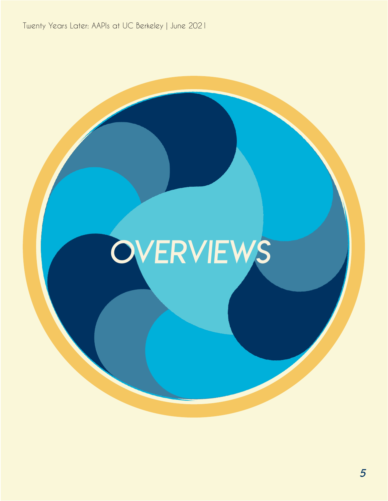## **OVERVIEWS**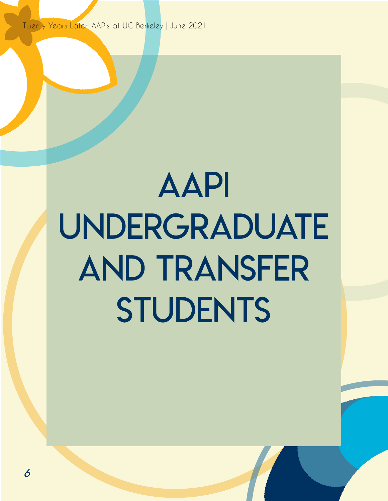## aapi UNDERGRADUATE and transfer **STUDENTS**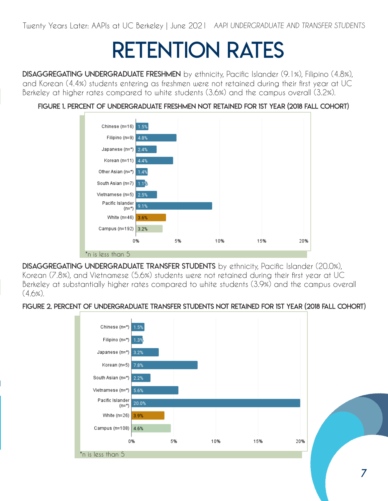Twenty Years Later: AAPIs at UC Berkeley | June 2021 AAPI UNDERGRADUATE AND TRANSFER STUDENTS

## retention rates

DISAGGREGATING UNDERGRADUATE FRESHMEN by ethnicity, Pacific Islander (9.1%), Filipino (4.8%), and Korean (4.4%) students entering as freshmen were not retained during their first year at UC Berkeley at higher rates compared to white students (3.6%) and the campus overall (3.2%).

#### Figure 1. Percent of Undergraduate Freshmen Not Retained for 1st Year (2018 Fall Cohort)



DISAGGREGATING UNDERGRADUATE TRANSFER STUDENTS by ethnicity, Pacific Islander (20.0%), Korean (7.8%), and Vietnamese (5.6%) students were not retained during their first year at UC Berkeley at substantially higher rates compared to white students (3.9%) and the campus overall  $(4.6\%)$ .

#### Figure 2. Percent of Undergraduate Transfer Students Not Retained for 1st Year (2018 Fall Cohort)

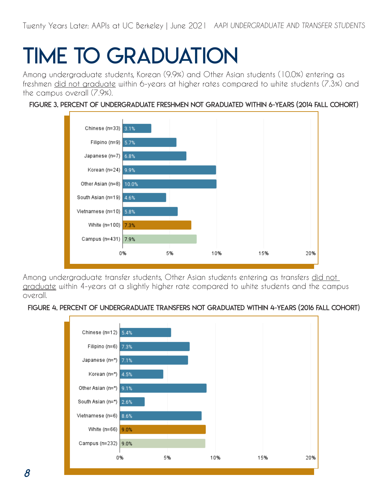## Time to Graduation

Among undergraduate students, Korean (9.9%) and Other Asian students (10.0%) entering as freshmen did not graduate within 6-years at higher rates compared to white students (7.3%) and the campus overall (7.9%).

#### Figure 3. Percent of Undergraduate Freshmen Not Graduated within 6-Years (2014 Fall Cohort)



Among undergraduate transfer students, Other Asian students entering as transfers did not graduate within 4-years at a slightly higher rate compared to white students and the campus overall.

#### Figure 4. Percent of Undergraduate Transfers Not Graduated within 4-Years (2016 Fall Cohort)

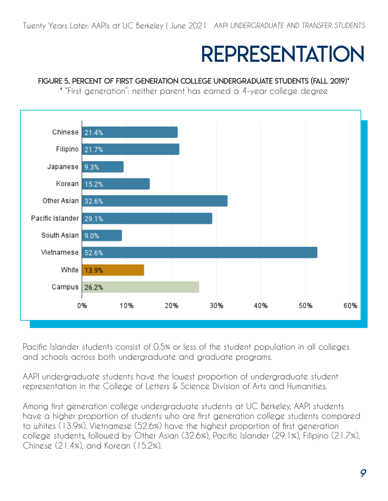### representation

#### Figure 5. Percent of First Generation College Undergraduate Students (Fall 2019)\*

\* "First generation": neither parent has earned a 4-year college degree



Pacific Islander students consist of 0.5% or less of the student population in all colleges and schools across both undergraduate and graduate programs.

AAPI undergraduate students have the lowest proportion of undergraduate student representation in the College of Letters & Science Division of Arts and Humanities.

Among first generation college undergraduate students at UC Berkeley, AAPI students have a higher proportion of students who are first generation college students compared to whites (13.9%). Vietnamese (52.6%) have the highest proportion of first generation college students, followed by Other Asian (32.6%), Pacific Islander (29.1%), Filipino (21.7%), Chinese (21.4%), and Korean (15.2%).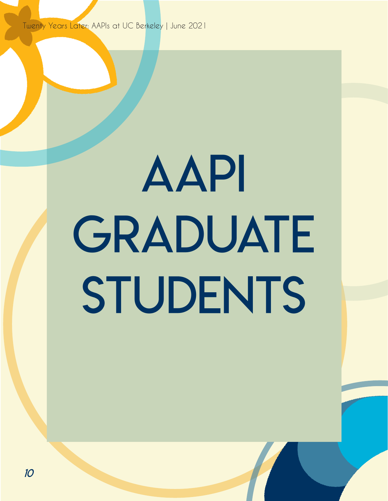# **AAPI** GRADUATE STUDENTS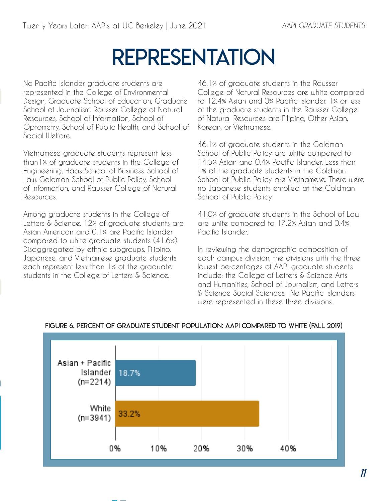### representation

No Pacific Islander graduate students are represented in the College of Environmental Design, Graduate School of Education, Graduate School of Journalism, Rausser College of Natural Resources, School of Information, School of Optometry, School of Public Health, and School of Social *Welfare* 

Vietnamese graduate students represent less than1% of graduate students in the College of Engineering, Haas School of Business, School of Law, Goldman School of Public Policy, School of Information, and Rausser College of Natural Resources.

Among graduate students in the College of Letters & Science, 12% of graduate students are Asian American and 0.1% are Pacific Islander compared to white graduate students (41.6%). Disaggregated by ethnic subgroups, Filipino, Japanese, and Vietnamese graduate students each represent less than 1% of the graduate students in the College of Letters & Science.

46.1% of graduate students in the Rausser College of Natural Resources are white compared to 12.4% Asian and 0% Pacific Islander. 1% or less of the graduate students in the Rausser College of Natural Resources are Filipino, Other Asian, Korean, or Vietnamese.

46.1% of graduate students in the Goldman School of Public Policy are white compared to 14.5% Asian and 0.4% Pacific Islander. Less than 1% of the graduate students in the Goldman School of Public Policy are Vietnamese. There were no Japanese students enrolled at the Goldman School of Public Policy.

41.0% of graduate students in the School of Law are white compared to 17.2% Asian and 0.4% Pacific Islander.

In reviewing the demographic composition of each campus division, the divisions with the three lowest percentages of AAPI graduate students include: the College of Letters & Science Arts and Humanities, School of Journalism, and Letters & Science Social Sciences. No Pacific Islanders were represented in these three divisions.



#### Figure 6. Percent of Graduate Student Population: AAPI Compared to White (Fall 2019)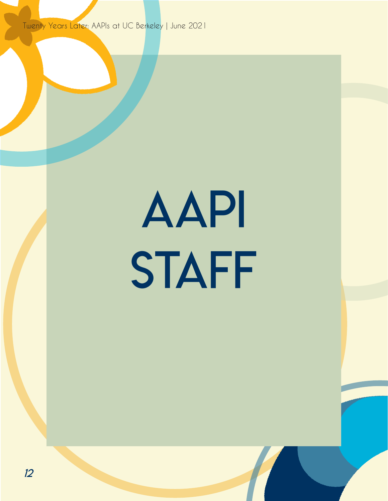# AAPI **STAFF**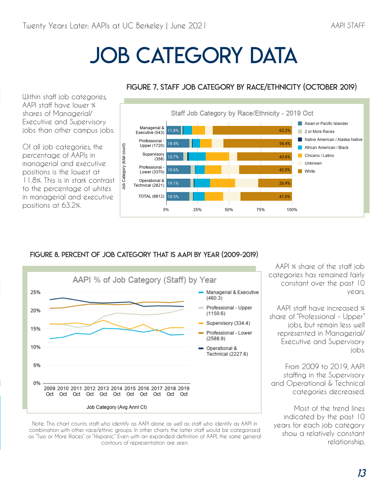AAPI staff have lower % shares of Managerial/

percentage of AAPIs in

positions at 63.2%.

## JOB CATEGORY DATA



#### Figure 7. Staff Job Category by Race/Ethnicity (October 2019)

#### Figure 8. Percent of Job Category that is AAPI by Year (2009-2019)



Note: This chart counts staff who identify as AAPI alone as well as staff who identify as AAPI in combination with other race/ethnic groups. In other charts the latter staff would be categorized as "Two or More Races" or "Hispanic." Even with an expanded definition of AAPI, the same general contours of representation are seen.

AAPI % share of the staff job categories has remained fairly constant over the past 10 years.

AAPI staff have increased % share of "Professional - Upper" jobs, but remain less well represented in Managerial/ Executive and Supervisory jobs.

From 2009 to 2019, AAPI staffing in the Supervisory and Operational & Technical categories decreased.

Most of the trend lines indicated by the past 10 years for each job category show a relatively constant relationship.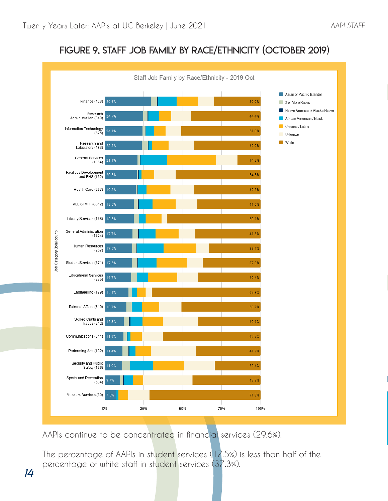#### AAPI STAFF

#### Figure 9. Staff Job Family by Race/Ethnicity (October 2019)



AAPIs continue to be concentrated in financial services (29.6%).

The percentage of AAPIs in student services (17.5%) is less than half of the percentage of white staff in student services (37.3%).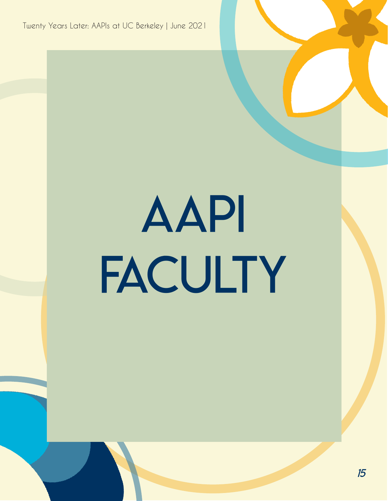# AAPI **FACULTY**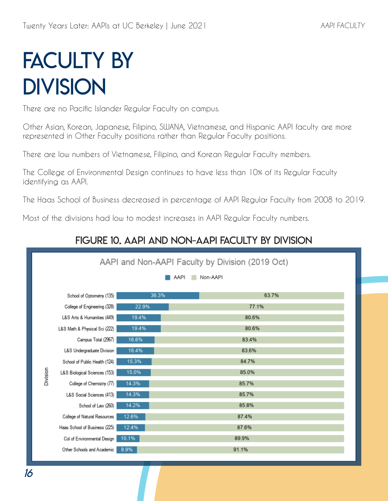## **FACULTY BY DIVISION**

There are no Pacific Islander Regular Faculty on campus.

Other Asian, Korean, Japanese, Filipino, SWANA, Vietnamese, and Hispanic AAPI faculty are more represented in Other Faculty positions rather than Regular Faculty positions.

There are low numbers of Vietnamese, Filipino, and Korean Regular Faculty members.

The College of Environmental Design continues to have less than 10% of its Regular Faculty identifying as AAPI.

The Haas School of Business decreased in percentage of AAPI Regular Faculty from 2008 to 2019.

Most of the divisions had low to modest increases in AAPI Regular Faculty numbers.

#### Figure 10. AAPI and Non-AAPI Faculty by Division

| AAPI and Non-AAPI Faculty by Division (2019 Oct) |                               |       |       |  |
|--------------------------------------------------|-------------------------------|-------|-------|--|
| Non-AAPI<br>AAPI                                 |                               |       |       |  |
|                                                  |                               | 36.3% | 63.7% |  |
|                                                  | School of Optometry (135)     |       |       |  |
|                                                  | College of Engineering (328)  | 22.9% | 77.1% |  |
|                                                  | L&S Arts & Humanities (449)   | 19.4% | 80.6% |  |
| Division                                         | L&S Math & Physical Sci (222) | 19.4% | 80.6% |  |
|                                                  | Campus Total (2967)           | 16.6% | 83.4% |  |
|                                                  | L&S Undergraduate Division    | 16.4% | 83.6% |  |
|                                                  | School of Public Health (124) | 15.3% | 84.7% |  |
|                                                  | L&S Biological Sciences (153) | 15.0% | 85.0% |  |
|                                                  | College of Chemistry (77)     | 14.3% | 85.7% |  |
|                                                  | L&S Social Sciences (413)     | 14.3% | 85.7% |  |
|                                                  | School of Law (260)           | 14.2% | 85.8% |  |
|                                                  | College of Natural Resources  | 12.6% | 87.4% |  |
|                                                  | Haas School of Business (225) | 12.4% | 87.6% |  |
|                                                  | Col of Environmental Design   | 10.1% | 89.9% |  |
|                                                  | Other Schools and Academic    | 8.9%  | 91.1% |  |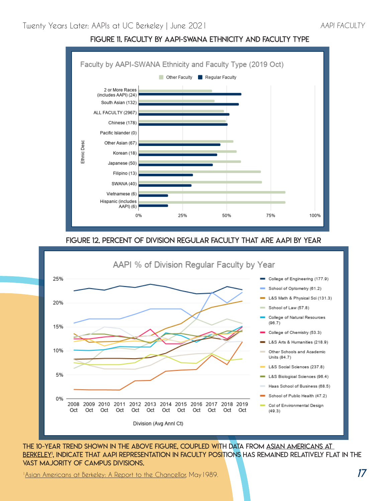

#### Figure 11. Faculty by AAPI-SWANA Ethnicity and Faculty Type

#### Figure 12. Percent of Division Regular Faculty that are AAPI by Year



The 10-year trend shown in the above figure, coupled with data from Asian Americans at BERKELEY', INDICATE THAT AAPI REPRESENTATION IN FACULTY POSITIONS HAS REMAINED RELATIVELY FLAT IN THE vast majority of campus divisions.

<sup>1</sup>Asian Americans at Berkeley: A Report to the Chancellor, May 1989.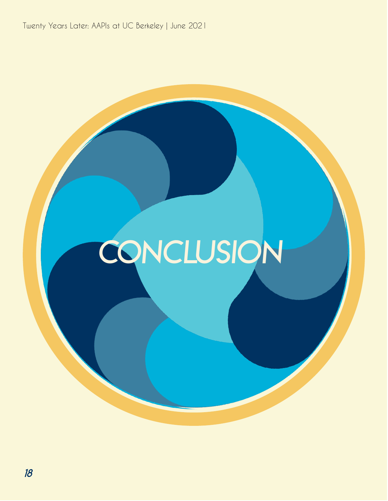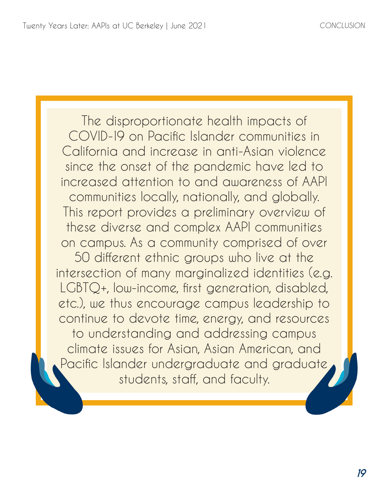The disproportionate health impacts of COVID-19 on Pacific Islander communities in California and increase in anti-Asian violence since the onset of the pandemic have led to increased attention to and awareness of AAPI communities locally, nationally, and globally. This report provides a preliminary overview of these diverse and complex AAPI communities on campus. As a community comprised of over

50 different ethnic groups who live at the intersection of many marginalized identities (e.g. LGBTQ+, low-income, first generation, disabled, etc.), we thus encourage campus leadership to continue to devote time, energy, and resources to understanding and addressing campus climate issues for Asian, Asian American, and Pacific Islander undergraduate and graduate students, staff, and faculty.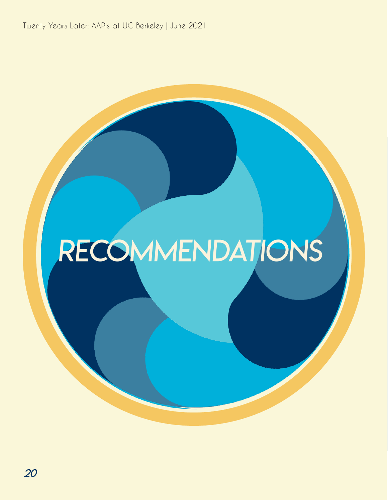## RECOMMENDATIONS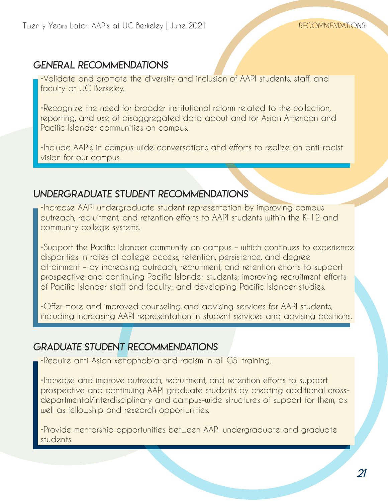#### General Recommendations

•Validate and promote the diversity and inclusion of AAPI students, staff, and faculty at UC Berkeley.

•Recognize the need for broader institutional reform related to the collection, reporting, and use of disaggregated data about and for Asian American and Pacific Islander communities on campus.

•Include AAPIs in campus-wide conversations and efforts to realize an anti-racist vision for our campus.

#### Undergraduate Student Recommendations

•Increase AAPI undergraduate student representation by improving campus outreach, recruitment, and retention efforts to AAPI students within the K-12 and community college systems.

•Support the Pacific Islander community on campus – which continues to experience disparities in rates of college access, retention, persistence, and degree attainment – by increasing outreach, recruitment, and retention efforts to support prospective and continuing Pacific Islander students; improving recruitment efforts of Pacific Islander staff and faculty; and developing Pacific Islander studies.

•Offer more and improved counseling and advising services for AAPI students, including increasing AAPI representation in student services and advising positions.

#### graduate Student Recommendations

•Require anti-Asian xenophobia and racism in all GSI training.

•Increase and improve outreach, recruitment, and retention efforts to support prospective and continuing AAPI graduate students by creating additional crossdepartmental/interdisciplinary and campus-wide structures of support for them, as well as fellowship and research opportunities.

•Provide mentorship opportunities between AAPI undergraduate and graduate students.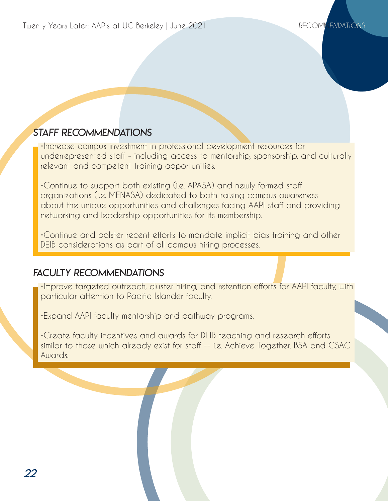#### Staff Recommendations

•Increase campus investment in professional development resources for underrepresented staff - including access to mentorship, sponsorship, and culturally relevant and competent training opportunities.

•Continue to support both existing (i.e. APASA) and newly formed staff organizations (i.e. MENASA) dedicated to both raising campus awareness about the unique opportunities and challenges facing AAPI staff and providing networking and leadership opportunities for its membership.

•Continue and bolster recent efforts to mandate implicit bias training and other DEIB considerations as part of all campus hiring processes.

#### Faculty Recommendations

•Improve targeted outreach, cluster hiring, and retention efforts for AAPI faculty, with particular attention to Pacific Islander faculty.

•Expand AAPI faculty mentorship and pathway programs.

•Create faculty incentives and awards for DEIB teaching and research efforts similar to those which already exist for staff -- i.e. Achieve Together, BSA and CSAC Awards.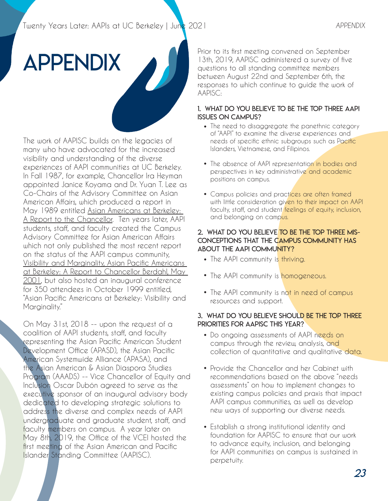## appendix

The work of AAPISC builds on the legacies of many who have advocated for the increased visibility and understanding of the diverse experiences of AAPI communities at UC Berkeley. In Fall 1987, for example, Chancellor Ira Heyman appointed Janice Koyama and Dr. Yuan T. Lee as Co-Chairs of the Advisory Committee on Asian American Affairs, which produced a report in May 1989 entitled Asian Americans at Berkeley: A Report to the Chancellor. Ten years later, AAPI students, staff, and faculty created the Campus Advisory Committee for Asian American Affairs which not only published the most recent report on the status of the AAPI campus community, Visibility and Marginality, Asian Pacific Americans at Berkeley: A Report to Chancellor Berdahl, May 2001, but also hosted an inaugural conference for 350 attendees in October 1999 entitled, "Asian Pacific Americans at Berkeley: Visibility and Marginality."

On May 31st, 2018 -- upon the request of a coalition of AAPI students, staff, and faculty representing the Asian Pacific American Student Development Office (APASD), the Asian Pacific American Systemwide Alliance (APASA), and the Asian American & Asian Diaspora Studies Program (AAADS) -- Vice Chancellor of Equity and Inclusion Oscar Dubón agreed to serve as the executive sponsor of an inaugural advisory body dedicated to developing strategic solutions to address the diverse and complex needs of AAPI undergraduate and graduate student, staff, and faculty members on campus. A year later on May 8th, 2019, the Office of the VCEI hosted the first meeting of the Asian American and Pacific Islander Standing Committee (AAPISC).

Prior to its first meeting convened on September 13th, 2019, AAPISC administered a survey of five questions to all standing committee members between August 22nd and September 6th, the responses to which continue to guide the work of AAPISC:

#### 1. What do you believe to be the top three AAPI issues on campus?

- The need to disaggregate the panethnic category [ of "AAPI" to examine the diverse experiences and needs of specific ethnic subgroups such as Pacific Islanders, Vietnamese, and Filipinos.
- The absence of AAPI representation in bodies and perspectives in key administrative and academic positions on campus.
- Campus policies and practices are often framed with little consideration given to their impact on AAPI faculty, staff, and student feelings of equity, inclusion, and belonging on campus.

#### 2. What do you believe to be the top three misconceptions that the campus community has about the AAPI community?

- The AAPI community is thriving.
- The AAPI community is homogeneous.
- The AAPI community is not in need of campus resources and support.

#### 3. What do you believe should be the top three priorities for AAPISC this year?

- Do ongoing assessments of AAPI needs on campus through the review, analysis, and collection of quantitative and qualitative data.
- Provide the Chancellor and her Cabinet with [ recommendations based on the above "needs assessments" on how to implement changes to existing campus policies and praxis that impact AAPI campus communities, as well as develop new ways of supporting our diverse needs.
- Establish a strong institutional identity and [ foundation for AAPISC to ensure that our work to advance equity, inclusion, and belonging for AAPI communities on campus is sustained in perpetuity.